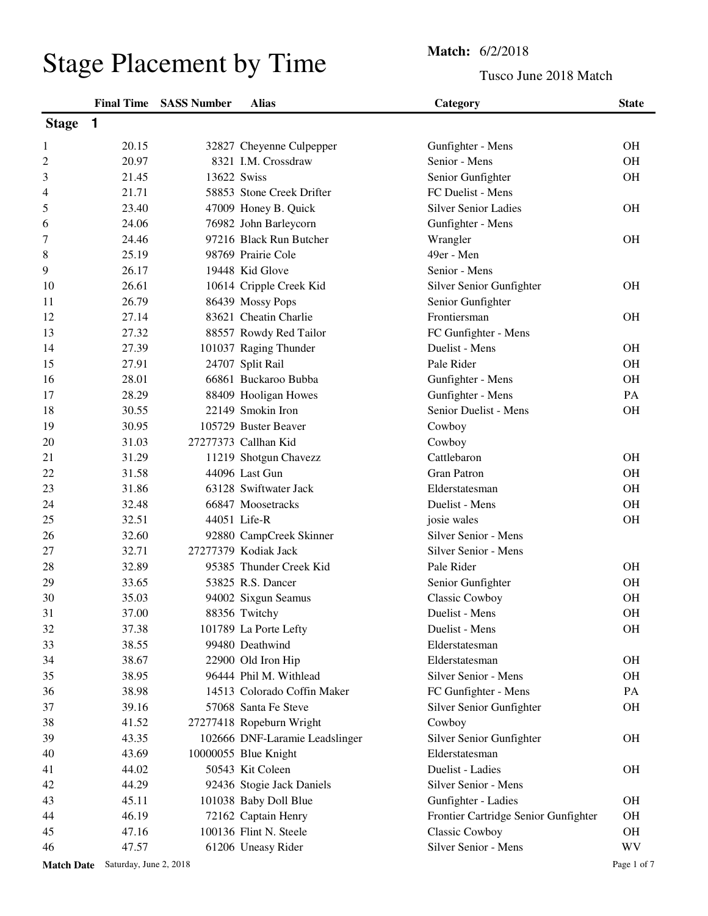## Stage Placement by Time<br>
Tusco Jun

## Tusco June 2018 Match

|                |       | <b>Final Time SASS Number</b> | <b>Alias</b>                   | Category                             | <b>State</b> |
|----------------|-------|-------------------------------|--------------------------------|--------------------------------------|--------------|
| <b>Stage</b>   | 1     |                               |                                |                                      |              |
| 1              | 20.15 |                               | 32827 Cheyenne Culpepper       | Gunfighter - Mens                    | <b>OH</b>    |
| $\overline{c}$ | 20.97 |                               | 8321 I.M. Crossdraw            | Senior - Mens                        | <b>OH</b>    |
| 3              | 21.45 | 13622 Swiss                   |                                | Senior Gunfighter                    | OH           |
| 4              | 21.71 |                               | 58853 Stone Creek Drifter      | FC Duelist - Mens                    |              |
| 5              | 23.40 |                               | 47009 Honey B. Quick           | <b>Silver Senior Ladies</b>          | <b>OH</b>    |
| 6              | 24.06 |                               | 76982 John Barleycorn          | Gunfighter - Mens                    |              |
| 7              | 24.46 |                               | 97216 Black Run Butcher        | Wrangler                             | <b>OH</b>    |
| 8              | 25.19 |                               | 98769 Prairie Cole             | 49er - Men                           |              |
| 9              | 26.17 |                               | 19448 Kid Glove                | Senior - Mens                        |              |
| 10             | 26.61 |                               | 10614 Cripple Creek Kid        | Silver Senior Gunfighter             | <b>OH</b>    |
| 11             | 26.79 |                               | 86439 Mossy Pops               | Senior Gunfighter                    |              |
| 12             | 27.14 |                               | 83621 Cheatin Charlie          | Frontiersman                         | <b>OH</b>    |
| 13             | 27.32 |                               | 88557 Rowdy Red Tailor         | FC Gunfighter - Mens                 |              |
| 14             | 27.39 |                               | 101037 Raging Thunder          | Duelist - Mens                       | <b>OH</b>    |
| 15             | 27.91 |                               | 24707 Split Rail               | Pale Rider                           | OH           |
| 16             | 28.01 |                               | 66861 Buckaroo Bubba           | Gunfighter - Mens                    | <b>OH</b>    |
| 17             | 28.29 |                               | 88409 Hooligan Howes           | Gunfighter - Mens                    | PA           |
| 18             | 30.55 |                               | 22149 Smokin Iron              | Senior Duelist - Mens                | <b>OH</b>    |
| 19             | 30.95 |                               | 105729 Buster Beaver           | Cowboy                               |              |
| 20             | 31.03 |                               | 27277373 Callhan Kid           | Cowboy                               |              |
| 21             | 31.29 |                               | 11219 Shotgun Chavezz          | Cattlebaron                          | <b>OH</b>    |
| 22             | 31.58 |                               | 44096 Last Gun                 | <b>Gran Patron</b>                   | <b>OH</b>    |
| 23             | 31.86 |                               | 63128 Swiftwater Jack          | Elderstatesman                       | <b>OH</b>    |
| 24             | 32.48 |                               | 66847 Moosetracks              | Duelist - Mens                       | <b>OH</b>    |
| 25             | 32.51 |                               | 44051 Life-R                   | josie wales                          | OH           |
| 26             | 32.60 |                               | 92880 CampCreek Skinner        | Silver Senior - Mens                 |              |
| 27             | 32.71 |                               | 27277379 Kodiak Jack           | Silver Senior - Mens                 |              |
| 28             | 32.89 |                               | 95385 Thunder Creek Kid        | Pale Rider                           | <b>OH</b>    |
| 29             | 33.65 |                               | 53825 R.S. Dancer              | Senior Gunfighter                    | <b>OH</b>    |
| 30             | 35.03 |                               | 94002 Sixgun Seamus            | Classic Cowboy                       | <b>OH</b>    |
| 31             | 37.00 |                               | 88356 Twitchy                  | Duelist - Mens                       | <b>OH</b>    |
| 32             | 37.38 |                               | 101789 La Porte Lefty          | Duelist - Mens                       | <b>OH</b>    |
| 33             | 38.55 |                               | 99480 Deathwind                | Elderstatesman                       |              |
| 34             | 38.67 |                               | 22900 Old Iron Hip             | Elderstatesman                       | OH           |
| 35             | 38.95 |                               | 96444 Phil M. Withlead         | Silver Senior - Mens                 | OH           |
| 36             | 38.98 |                               | 14513 Colorado Coffin Maker    | FC Gunfighter - Mens                 | PA           |
| 37             | 39.16 |                               | 57068 Santa Fe Steve           | Silver Senior Gunfighter             | OH           |
| 38             | 41.52 |                               | 27277418 Ropeburn Wright       | Cowboy                               |              |
| 39             | 43.35 |                               | 102666 DNF-Laramie Leadslinger | Silver Senior Gunfighter             | OH           |
| 40             | 43.69 |                               | 10000055 Blue Knight           | Elderstatesman                       |              |
| 41             | 44.02 |                               | 50543 Kit Coleen               | Duelist - Ladies                     | <b>OH</b>    |
| 42             | 44.29 |                               | 92436 Stogie Jack Daniels      | Silver Senior - Mens                 |              |
| 43             | 45.11 |                               | 101038 Baby Doll Blue          | Gunfighter - Ladies                  | OH           |
| 44             | 46.19 |                               | 72162 Captain Henry            | Frontier Cartridge Senior Gunfighter | OH           |
| 45             | 47.16 |                               | 100136 Flint N. Steele         | Classic Cowboy                       | OH           |
| 46             | 47.57 |                               | 61206 Uneasy Rider             | Silver Senior - Mens                 | <b>WV</b>    |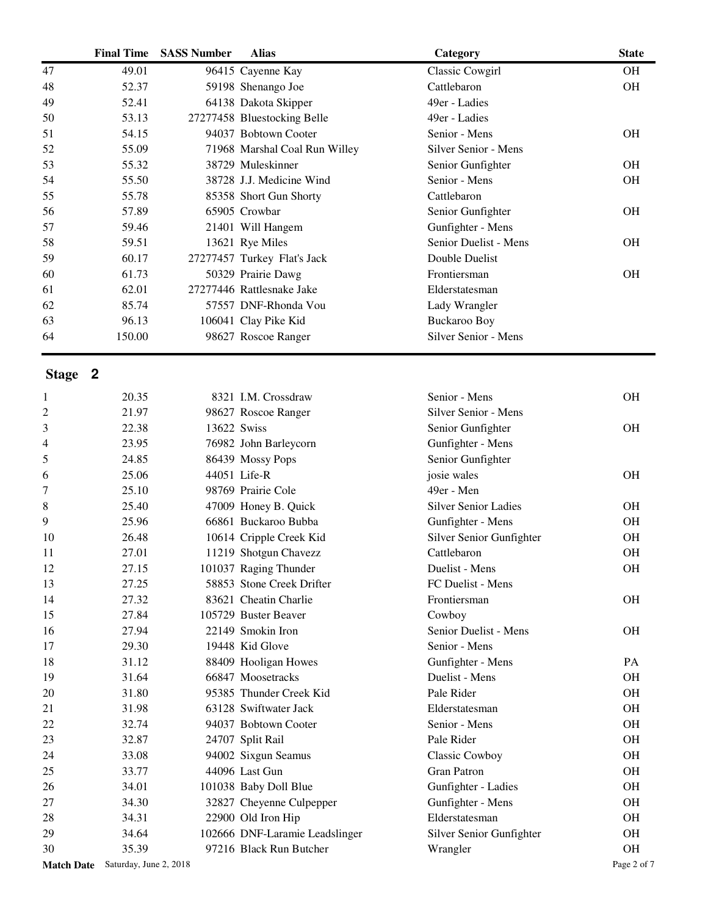|                   | <b>Final Time</b>      | <b>SASS Number</b> | <b>Alias</b>                                         | Category                             | <b>State</b> |
|-------------------|------------------------|--------------------|------------------------------------------------------|--------------------------------------|--------------|
| 47                | 49.01                  |                    | 96415 Cayenne Kay                                    | Classic Cowgirl                      | <b>OH</b>    |
| 48                | 52.37                  |                    | 59198 Shenango Joe                                   | Cattlebaron                          | <b>OH</b>    |
| 49                | 52.41                  |                    | 64138 Dakota Skipper                                 | 49er - Ladies                        |              |
| 50                | 53.13                  |                    | 27277458 Bluestocking Belle                          | 49er - Ladies                        |              |
| 51                | 54.15                  |                    | 94037 Bobtown Cooter                                 | Senior - Mens                        | <b>OH</b>    |
| 52                | 55.09                  |                    | 71968 Marshal Coal Run Willey                        | Silver Senior - Mens                 |              |
| 53                | 55.32                  |                    | 38729 Muleskinner                                    | Senior Gunfighter                    | <b>OH</b>    |
| 54                | 55.50                  |                    | 38728 J.J. Medicine Wind                             | Senior - Mens                        | <b>OH</b>    |
| 55                | 55.78                  |                    | 85358 Short Gun Shorty                               | Cattlebaron                          |              |
| 56                | 57.89                  |                    | 65905 Crowbar                                        | Senior Gunfighter                    | <b>OH</b>    |
| 57                | 59.46                  |                    | 21401 Will Hangem                                    | Gunfighter - Mens                    |              |
| 58                | 59.51                  |                    | 13621 Rye Miles                                      | Senior Duelist - Mens                | <b>OH</b>    |
| 59                | 60.17                  |                    | 27277457 Turkey Flat's Jack                          | Double Duelist                       |              |
| 60                | 61.73                  |                    | 50329 Prairie Dawg                                   | Frontiersman                         | <b>OH</b>    |
| 61                | 62.01                  |                    | 27277446 Rattlesnake Jake                            | Elderstatesman                       |              |
| 62                | 85.74                  |                    | 57557 DNF-Rhonda Vou                                 | Lady Wrangler                        |              |
| 63                | 96.13                  |                    | 106041 Clay Pike Kid                                 | <b>Buckaroo Boy</b>                  |              |
| 64                | 150.00                 |                    | 98627 Roscoe Ranger                                  | Silver Senior - Mens                 |              |
| Stage 2           |                        |                    |                                                      |                                      |              |
| 1                 | 20.35                  |                    | 8321 I.M. Crossdraw                                  | Senior - Mens                        | <b>OH</b>    |
| 2                 | 21.97                  |                    | 98627 Roscoe Ranger                                  | Silver Senior - Mens                 |              |
| 3                 | 22.38                  | 13622 Swiss        |                                                      | Senior Gunfighter                    | <b>OH</b>    |
| 4                 | 23.95                  |                    | 76982 John Barleycorn                                | Gunfighter - Mens                    |              |
| 5                 | 24.85                  |                    | 86439 Mossy Pops                                     | Senior Gunfighter                    |              |
| 6                 | 25.06                  |                    | 44051 Life-R                                         | josie wales                          | <b>OH</b>    |
| 7                 | 25.10                  |                    | 98769 Prairie Cole                                   | 49er - Men                           |              |
| 8                 | 25.40                  |                    | 47009 Honey B. Quick                                 | <b>Silver Senior Ladies</b>          | <b>OH</b>    |
| 9                 | 25.96                  |                    | 66861 Buckaroo Bubba                                 | Gunfighter - Mens                    | <b>OH</b>    |
| 10                | 26.48                  |                    | 10614 Cripple Creek Kid                              | Silver Senior Gunfighter             | <b>OH</b>    |
| 11                | 27.01                  |                    | 11219 Shotgun Chavezz                                | Cattlebaron                          | <b>OH</b>    |
| 12                | 27.15                  |                    | 101037 Raging Thunder                                | Duelist - Mens                       | <b>OH</b>    |
| 13                | 27.25                  |                    | 58853 Stone Creek Drifter                            | FC Duelist - Mens                    |              |
| 14                | 27.32                  |                    | 83621 Cheatin Charlie                                | Frontiersman                         | <b>OH</b>    |
| 15                | 27.84                  |                    | 105729 Buster Beaver                                 | Cowboy                               |              |
| 16                | 27.94                  |                    | 22149 Smokin Iron                                    | Senior Duelist - Mens                | <b>OH</b>    |
| 17                | 29.30                  |                    | 19448 Kid Glove                                      | Senior - Mens                        |              |
| 18                | 31.12                  |                    | 88409 Hooligan Howes                                 | Gunfighter - Mens                    | PA           |
| 19                | 31.64                  |                    | 66847 Moosetracks                                    | Duelist - Mens                       | <b>OH</b>    |
| 20                | 31.80                  |                    | 95385 Thunder Creek Kid                              | Pale Rider                           | <b>OH</b>    |
| 21                | 31.98                  |                    | 63128 Swiftwater Jack                                | Elderstatesman                       | <b>OH</b>    |
| 22                | 32.74                  |                    | 94037 Bobtown Cooter                                 | Senior - Mens                        | <b>OH</b>    |
| 23                | 32.87                  |                    | 24707 Split Rail                                     | Pale Rider                           | <b>OH</b>    |
| 24                | 33.08                  |                    | 94002 Sixgun Seamus                                  | <b>Classic Cowboy</b>                | <b>OH</b>    |
| 25                | 33.77                  |                    | 44096 Last Gun                                       | Gran Patron                          | <b>OH</b>    |
| 26                | 34.01                  |                    | 101038 Baby Doll Blue                                | Gunfighter - Ladies                  | <b>OH</b>    |
| 27                | 34.30                  |                    | 32827 Cheyenne Culpepper                             | Gunfighter - Mens                    | <b>OH</b>    |
| 28                | 34.31                  |                    |                                                      | Elderstatesman                       | <b>OH</b>    |
| 29                | 34.64                  |                    | 22900 Old Iron Hip<br>102666 DNF-Laramie Leadslinger |                                      | <b>OH</b>    |
| 30                | 35.39                  |                    | 97216 Black Run Butcher                              | Silver Senior Gunfighter<br>Wrangler | OH           |
| <b>Match Date</b> | Saturday, June 2, 2018 |                    |                                                      |                                      | Page 2 of 7  |
|                   |                        |                    |                                                      |                                      |              |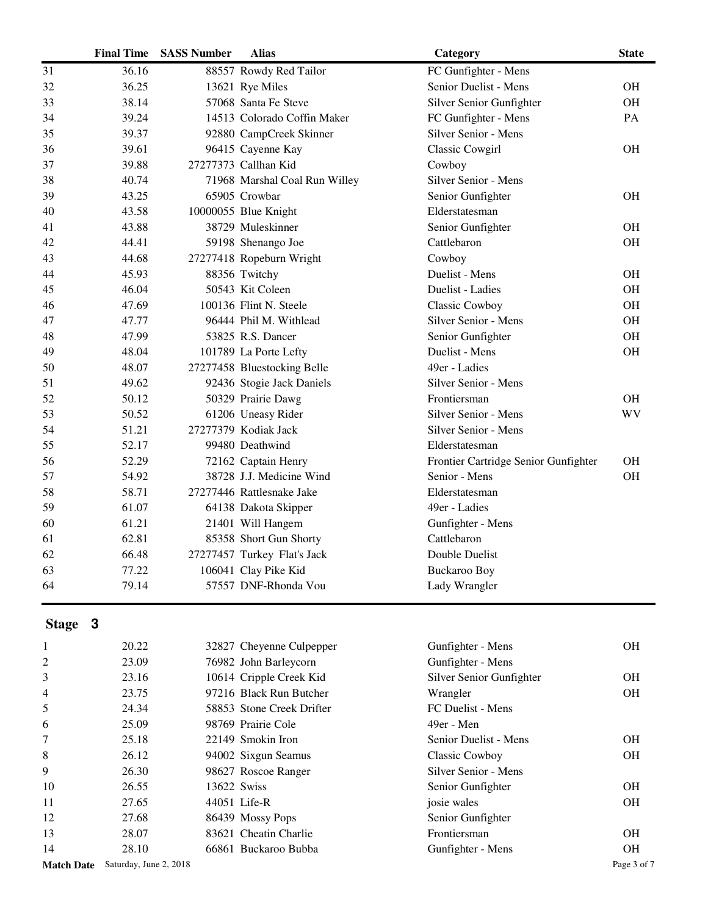|    | <b>Final Time</b> | <b>SASS Number</b> | <b>Alias</b>                  | Category                             | <b>State</b> |
|----|-------------------|--------------------|-------------------------------|--------------------------------------|--------------|
| 31 | 36.16             |                    | 88557 Rowdy Red Tailor        | FC Gunfighter - Mens                 |              |
| 32 | 36.25             |                    | 13621 Rye Miles               | Senior Duelist - Mens                | <b>OH</b>    |
| 33 | 38.14             |                    | 57068 Santa Fe Steve          | Silver Senior Gunfighter             | <b>OH</b>    |
| 34 | 39.24             |                    | 14513 Colorado Coffin Maker   | FC Gunfighter - Mens                 | PA           |
| 35 | 39.37             |                    | 92880 CampCreek Skinner       | Silver Senior - Mens                 |              |
| 36 | 39.61             |                    | 96415 Cayenne Kay             | Classic Cowgirl                      | <b>OH</b>    |
| 37 | 39.88             |                    | 27277373 Callhan Kid          | Cowboy                               |              |
| 38 | 40.74             |                    | 71968 Marshal Coal Run Willey | Silver Senior - Mens                 |              |
| 39 | 43.25             |                    | 65905 Crowbar                 | Senior Gunfighter                    | <b>OH</b>    |
| 40 | 43.58             |                    | 10000055 Blue Knight          | Elderstatesman                       |              |
| 41 | 43.88             |                    | 38729 Muleskinner             | Senior Gunfighter                    | <b>OH</b>    |
| 42 | 44.41             |                    | 59198 Shenango Joe            | Cattlebaron                          | <b>OH</b>    |
| 43 | 44.68             |                    | 27277418 Ropeburn Wright      | Cowboy                               |              |
| 44 | 45.93             |                    | 88356 Twitchy                 | Duelist - Mens                       | <b>OH</b>    |
| 45 | 46.04             |                    | 50543 Kit Coleen              | Duelist - Ladies                     | <b>OH</b>    |
| 46 | 47.69             |                    | 100136 Flint N. Steele        | Classic Cowboy                       | <b>OH</b>    |
| 47 | 47.77             |                    | 96444 Phil M. Withlead        | Silver Senior - Mens                 | <b>OH</b>    |
| 48 | 47.99             |                    | 53825 R.S. Dancer             | Senior Gunfighter                    | <b>OH</b>    |
| 49 | 48.04             |                    | 101789 La Porte Lefty         | Duelist - Mens                       | OH           |
| 50 | 48.07             |                    | 27277458 Bluestocking Belle   | 49er - Ladies                        |              |
| 51 | 49.62             |                    | 92436 Stogie Jack Daniels     | Silver Senior - Mens                 |              |
| 52 | 50.12             |                    | 50329 Prairie Dawg            | Frontiersman                         | <b>OH</b>    |
| 53 | 50.52             |                    | 61206 Uneasy Rider            | Silver Senior - Mens                 | <b>WV</b>    |
| 54 | 51.21             |                    | 27277379 Kodiak Jack          | Silver Senior - Mens                 |              |
| 55 | 52.17             |                    | 99480 Deathwind               | Elderstatesman                       |              |
| 56 | 52.29             |                    | 72162 Captain Henry           | Frontier Cartridge Senior Gunfighter | <b>OH</b>    |
| 57 | 54.92             |                    | 38728 J.J. Medicine Wind      | Senior - Mens                        | <b>OH</b>    |
| 58 | 58.71             |                    | 27277446 Rattlesnake Jake     | Elderstatesman                       |              |
| 59 | 61.07             |                    | 64138 Dakota Skipper          | 49er - Ladies                        |              |
| 60 | 61.21             |                    | 21401 Will Hangem             | Gunfighter - Mens                    |              |
| 61 | 62.81             |                    | 85358 Short Gun Shorty        | Cattlebaron                          |              |
| 62 | 66.48             |                    | 27277457 Turkey Flat's Jack   | Double Duelist                       |              |
| 63 | 77.22             |                    | 106041 Clay Pike Kid          | <b>Buckaroo Boy</b>                  |              |
| 64 | 79.14             |                    | 57557 DNF-Rhonda Vou          | Lady Wrangler                        |              |

## **Stage 3**

| 1                 | 20.22                  | 32827 Cheyenne Culpepper  | Gunfighter - Mens        | <b>OH</b>   |
|-------------------|------------------------|---------------------------|--------------------------|-------------|
| 2                 | 23.09                  | 76982 John Barleycorn     | Gunfighter - Mens        |             |
| 3                 | 23.16                  | 10614 Cripple Creek Kid   | Silver Senior Gunfighter | <b>OH</b>   |
| $\overline{4}$    | 23.75                  | 97216 Black Run Butcher   | Wrangler                 | <b>OH</b>   |
| 5                 | 24.34                  | 58853 Stone Creek Drifter | FC Duelist - Mens        |             |
| 6                 | 25.09                  | 98769 Prairie Cole        | 49er - Men               |             |
| 7                 | 25.18                  | 22149 Smokin Iron         | Senior Duelist - Mens    | <b>OH</b>   |
| 8                 | 26.12                  | 94002 Sixgun Seamus       | Classic Cowboy           | <b>OH</b>   |
| 9                 | 26.30                  | 98627 Roscoe Ranger       | Silver Senior - Mens     |             |
| 10                | 26.55                  | 13622 Swiss               | Senior Gunfighter        | <b>OH</b>   |
| 11                | 27.65                  | 44051 Life-R              | josie wales              | <b>OH</b>   |
| 12                | 27.68                  | 86439 Mossy Pops          | Senior Gunfighter        |             |
| 13                | 28.07                  | 83621 Cheatin Charlie     | Frontiersman             | <b>OH</b>   |
| 14                | 28.10                  | 66861 Buckaroo Bubba      | Gunfighter - Mens        | <b>OH</b>   |
| <b>Match Date</b> | Saturday, June 2, 2018 |                           |                          | Page 3 of 7 |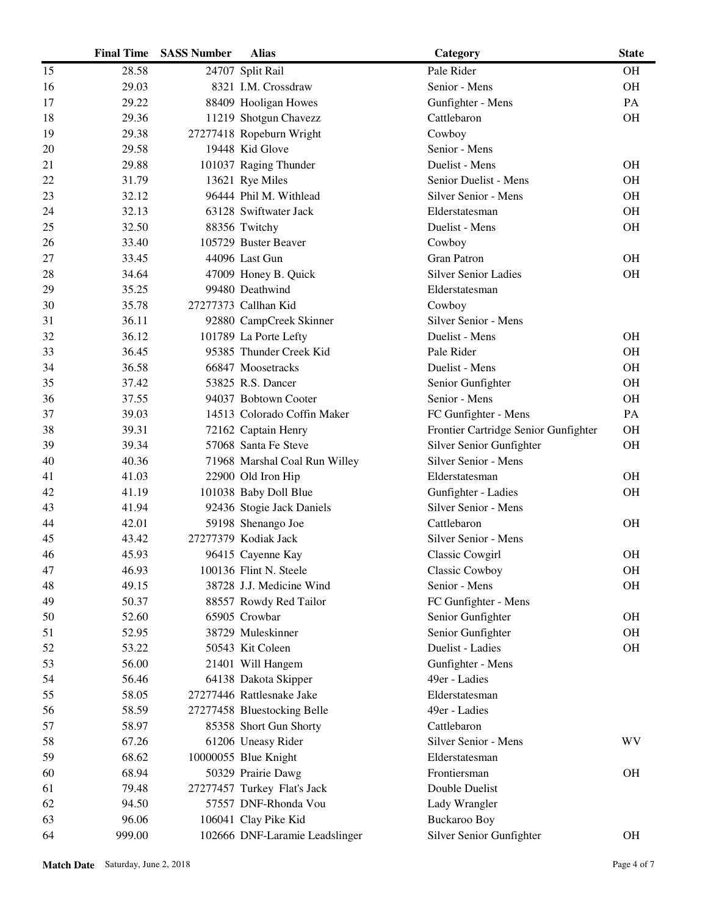|    | <b>Final Time</b> | <b>SASS Number</b> | <b>Alias</b>                   | Category                             | <b>State</b> |
|----|-------------------|--------------------|--------------------------------|--------------------------------------|--------------|
| 15 | 28.58             |                    | 24707 Split Rail               | Pale Rider                           | <b>OH</b>    |
| 16 | 29.03             |                    | 8321 I.M. Crossdraw            | Senior - Mens                        | OH           |
| 17 | 29.22             |                    | 88409 Hooligan Howes           | Gunfighter - Mens                    | PA           |
| 18 | 29.36             |                    | 11219 Shotgun Chavezz          | Cattlebaron                          | OH           |
| 19 | 29.38             |                    | 27277418 Ropeburn Wright       | Cowboy                               |              |
| 20 | 29.58             |                    | 19448 Kid Glove                | Senior - Mens                        |              |
| 21 | 29.88             |                    | 101037 Raging Thunder          | Duelist - Mens                       | <b>OH</b>    |
| 22 | 31.79             |                    | 13621 Rye Miles                | Senior Duelist - Mens                | <b>OH</b>    |
| 23 | 32.12             |                    | 96444 Phil M. Withlead         | Silver Senior - Mens                 | <b>OH</b>    |
| 24 | 32.13             |                    | 63128 Swiftwater Jack          | Elderstatesman                       | <b>OH</b>    |
| 25 | 32.50             |                    | 88356 Twitchy                  | Duelist - Mens                       | <b>OH</b>    |
| 26 | 33.40             |                    | 105729 Buster Beaver           | Cowboy                               |              |
| 27 | 33.45             |                    | 44096 Last Gun                 | <b>Gran Patron</b>                   | <b>OH</b>    |
| 28 | 34.64             |                    | 47009 Honey B. Quick           | <b>Silver Senior Ladies</b>          | OH           |
| 29 | 35.25             |                    | 99480 Deathwind                | Elderstatesman                       |              |
| 30 | 35.78             |                    | 27277373 Callhan Kid           | Cowboy                               |              |
| 31 | 36.11             |                    | 92880 CampCreek Skinner        | Silver Senior - Mens                 |              |
| 32 | 36.12             |                    | 101789 La Porte Lefty          | Duelist - Mens                       | <b>OH</b>    |
| 33 | 36.45             |                    | 95385 Thunder Creek Kid        | Pale Rider                           | <b>OH</b>    |
| 34 | 36.58             |                    | 66847 Moosetracks              | Duelist - Mens                       | <b>OH</b>    |
| 35 | 37.42             |                    | 53825 R.S. Dancer              | Senior Gunfighter                    | <b>OH</b>    |
| 36 | 37.55             |                    | 94037 Bobtown Cooter           | Senior - Mens                        | OH           |
| 37 | 39.03             |                    | 14513 Colorado Coffin Maker    | FC Gunfighter - Mens                 | PA           |
| 38 | 39.31             |                    | 72162 Captain Henry            | Frontier Cartridge Senior Gunfighter | <b>OH</b>    |
| 39 | 39.34             |                    | 57068 Santa Fe Steve           | Silver Senior Gunfighter             | <b>OH</b>    |
| 40 | 40.36             |                    | 71968 Marshal Coal Run Willey  | Silver Senior - Mens                 |              |
| 41 | 41.03             |                    | 22900 Old Iron Hip             | Elderstatesman                       | <b>OH</b>    |
| 42 | 41.19             |                    | 101038 Baby Doll Blue          | Gunfighter - Ladies                  | <b>OH</b>    |
| 43 | 41.94             |                    | 92436 Stogie Jack Daniels      | Silver Senior - Mens                 |              |
| 44 | 42.01             |                    | 59198 Shenango Joe             | Cattlebaron                          | <b>OH</b>    |
| 45 | 43.42             |                    | 27277379 Kodiak Jack           | Silver Senior - Mens                 |              |
| 46 | 45.93             |                    | 96415 Cayenne Kay              | <b>Classic Cowgirl</b>               | <b>OH</b>    |
| 47 | 46.93             |                    | 100136 Flint N. Steele         | Classic Cowboy                       | OH           |
| 48 | 49.15             |                    | 38728 J.J. Medicine Wind       | Senior - Mens                        | <b>OH</b>    |
| 49 | 50.37             |                    | 88557 Rowdy Red Tailor         | FC Gunfighter - Mens                 |              |
| 50 | 52.60             |                    | 65905 Crowbar                  | Senior Gunfighter                    | <b>OH</b>    |
| 51 | 52.95             |                    | 38729 Muleskinner              | Senior Gunfighter                    | <b>OH</b>    |
| 52 | 53.22             |                    | 50543 Kit Coleen               | Duelist - Ladies                     | <b>OH</b>    |
| 53 | 56.00             |                    | 21401 Will Hangem              | Gunfighter - Mens                    |              |
| 54 | 56.46             |                    | 64138 Dakota Skipper           | 49er - Ladies                        |              |
| 55 | 58.05             |                    | 27277446 Rattlesnake Jake      | Elderstatesman                       |              |
| 56 | 58.59             |                    | 27277458 Bluestocking Belle    | 49er - Ladies                        |              |
| 57 | 58.97             |                    | 85358 Short Gun Shorty         | Cattlebaron                          |              |
| 58 | 67.26             |                    | 61206 Uneasy Rider             | Silver Senior - Mens                 | WV           |
| 59 | 68.62             |                    | 10000055 Blue Knight           | Elderstatesman                       |              |
| 60 | 68.94             |                    | 50329 Prairie Dawg             | Frontiersman                         | <b>OH</b>    |
| 61 | 79.48             |                    | 27277457 Turkey Flat's Jack    | Double Duelist                       |              |
| 62 | 94.50             |                    | 57557 DNF-Rhonda Vou           | Lady Wrangler                        |              |
| 63 | 96.06             |                    | 106041 Clay Pike Kid           | Buckaroo Boy                         |              |
| 64 | 999.00            |                    | 102666 DNF-Laramie Leadslinger | Silver Senior Gunfighter             | <b>OH</b>    |
|    |                   |                    |                                |                                      |              |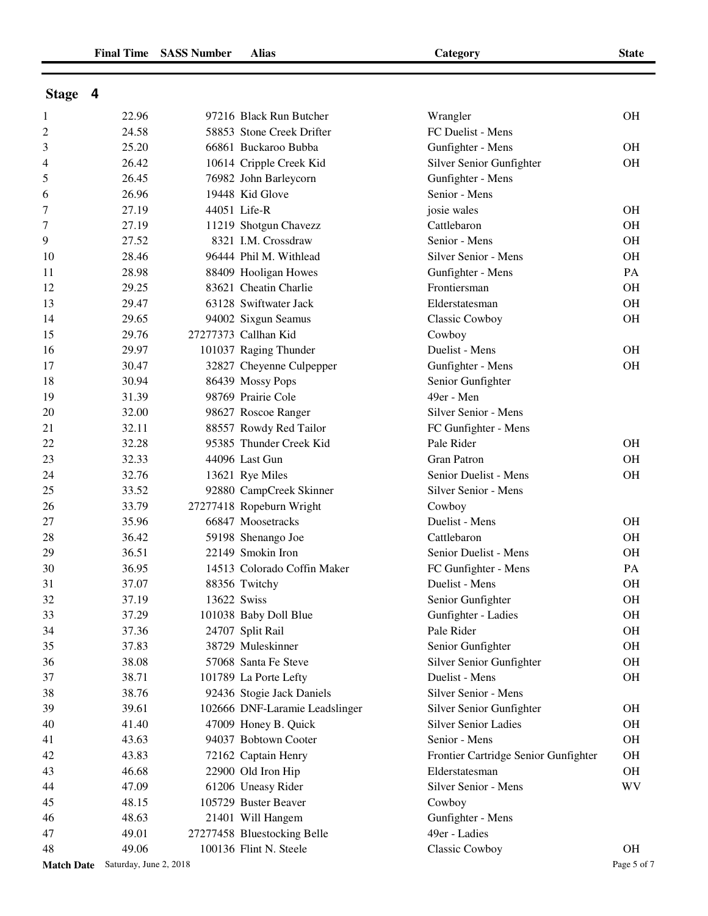| <b>Stage</b> | Δ |
|--------------|---|
|              |   |

| $\mathbf{1}$      | 22.96                  |             | 97216 Black Run Butcher        | Wrangler                             | <b>OH</b>   |
|-------------------|------------------------|-------------|--------------------------------|--------------------------------------|-------------|
| 2                 | 24.58                  |             | 58853 Stone Creek Drifter      | FC Duelist - Mens                    |             |
| 3                 | 25.20                  |             | 66861 Buckaroo Bubba           | Gunfighter - Mens                    | <b>OH</b>   |
| 4                 | 26.42                  |             | 10614 Cripple Creek Kid        | Silver Senior Gunfighter             | <b>OH</b>   |
| 5                 | 26.45                  |             | 76982 John Barleycorn          | Gunfighter - Mens                    |             |
| 6                 | 26.96                  |             | 19448 Kid Glove                | Senior - Mens                        |             |
| 7                 | 27.19                  |             | 44051 Life-R                   | josie wales                          | <b>OH</b>   |
| 7                 | 27.19                  |             | 11219 Shotgun Chavezz          | Cattlebaron                          | <b>OH</b>   |
| 9                 | 27.52                  |             | 8321 I.M. Crossdraw            | Senior - Mens                        | <b>OH</b>   |
| 10                | 28.46                  |             | 96444 Phil M. Withlead         | Silver Senior - Mens                 | <b>OH</b>   |
| 11                | 28.98                  |             | 88409 Hooligan Howes           | Gunfighter - Mens                    | PA          |
| 12                | 29.25                  |             | 83621 Cheatin Charlie          | Frontiersman                         | <b>OH</b>   |
| 13                | 29.47                  |             | 63128 Swiftwater Jack          | Elderstatesman                       | <b>OH</b>   |
| 14                | 29.65                  |             | 94002 Sixgun Seamus            | <b>Classic Cowboy</b>                | <b>OH</b>   |
| 15                | 29.76                  |             | 27277373 Callhan Kid           | Cowboy                               |             |
| 16                | 29.97                  |             | 101037 Raging Thunder          | Duelist - Mens                       | <b>OH</b>   |
| 17                | 30.47                  |             | 32827 Cheyenne Culpepper       | Gunfighter - Mens                    | <b>OH</b>   |
| 18                | 30.94                  |             | 86439 Mossy Pops               | Senior Gunfighter                    |             |
| 19                | 31.39                  |             | 98769 Prairie Cole             | 49er - Men                           |             |
| 20                | 32.00                  |             | 98627 Roscoe Ranger            | Silver Senior - Mens                 |             |
| 21                | 32.11                  |             | 88557 Rowdy Red Tailor         | FC Gunfighter - Mens                 |             |
| 22                | 32.28                  |             | 95385 Thunder Creek Kid        | Pale Rider                           | <b>OH</b>   |
| 23                | 32.33                  |             | 44096 Last Gun                 | <b>Gran Patron</b>                   | <b>OH</b>   |
| 24                | 32.76                  |             | 13621 Rye Miles                | Senior Duelist - Mens                | <b>OH</b>   |
| 25                | 33.52                  |             | 92880 CampCreek Skinner        | Silver Senior - Mens                 |             |
| 26                | 33.79                  |             | 27277418 Ropeburn Wright       | Cowboy                               |             |
| 27                | 35.96                  |             | 66847 Moosetracks              | Duelist - Mens                       | <b>OH</b>   |
| 28                | 36.42                  |             | 59198 Shenango Joe             | Cattlebaron                          | <b>OH</b>   |
| 29                | 36.51                  |             | 22149 Smokin Iron              | Senior Duelist - Mens                | <b>OH</b>   |
| 30                | 36.95                  |             | 14513 Colorado Coffin Maker    | FC Gunfighter - Mens                 | PA          |
| 31                | 37.07                  |             | 88356 Twitchy                  | Duelist - Mens                       | <b>OH</b>   |
| 32                | 37.19                  | 13622 Swiss |                                | Senior Gunfighter                    | <b>OH</b>   |
| 33                | 37.29                  |             | 101038 Baby Doll Blue          | Gunfighter - Ladies                  | <b>OH</b>   |
| 34                | 37.36                  |             | 24707 Split Rail               | Pale Rider                           | <b>OH</b>   |
| 35                | 37.83                  |             | 38729 Muleskinner              | Senior Gunfighter                    | <b>OH</b>   |
| 36                | 38.08                  |             | 57068 Santa Fe Steve           | Silver Senior Gunfighter             | OH          |
| 37                | 38.71                  |             | 101789 La Porte Lefty          | Duelist - Mens                       | <b>OH</b>   |
| 38                | 38.76                  |             | 92436 Stogie Jack Daniels      | Silver Senior - Mens                 |             |
| 39                | 39.61                  |             | 102666 DNF-Laramie Leadslinger | Silver Senior Gunfighter             | <b>OH</b>   |
| 40                | 41.40                  |             | 47009 Honey B. Quick           | <b>Silver Senior Ladies</b>          | OH          |
| 41                | 43.63                  |             | 94037 Bobtown Cooter           | Senior - Mens                        | <b>OH</b>   |
| 42                | 43.83                  |             | 72162 Captain Henry            | Frontier Cartridge Senior Gunfighter | OH          |
| 43                | 46.68                  |             | 22900 Old Iron Hip             | Elderstatesman                       | <b>OH</b>   |
| 44                | 47.09                  |             | 61206 Uneasy Rider             | Silver Senior - Mens                 | WV          |
| 45                | 48.15                  |             | 105729 Buster Beaver           | Cowboy                               |             |
| 46                | 48.63                  |             | 21401 Will Hangem              | Gunfighter - Mens                    |             |
| 47                | 49.01                  |             | 27277458 Bluestocking Belle    | 49er - Ladies                        |             |
| 48                | 49.06                  |             | 100136 Flint N. Steele         | Classic Cowboy                       | <b>OH</b>   |
| <b>Match Date</b> | Saturday, June 2, 2018 |             |                                |                                      | Page 5 of 7 |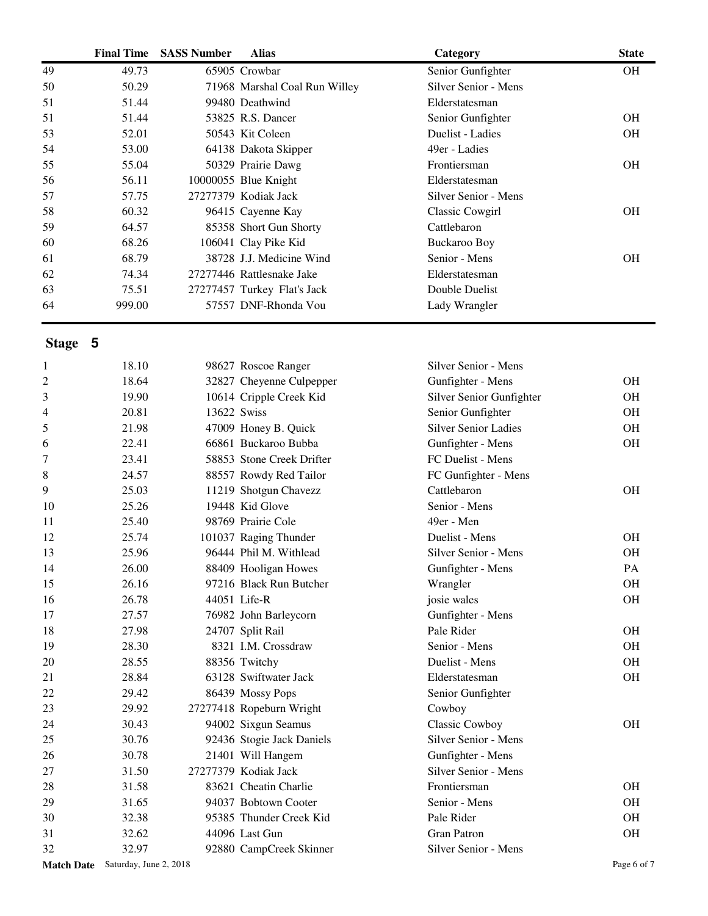|    | <b>Final Time</b> | <b>SASS Number</b> | <b>Alias</b>                  | Category             | <b>State</b> |
|----|-------------------|--------------------|-------------------------------|----------------------|--------------|
| 49 | 49.73             |                    | 65905 Crowbar                 | Senior Gunfighter    | OH.          |
| 50 | 50.29             |                    | 71968 Marshal Coal Run Willey | Silver Senior - Mens |              |
| 51 | 51.44             |                    | 99480 Deathwind               | Elderstatesman       |              |
| 51 | 51.44             |                    | 53825 R.S. Dancer             | Senior Gunfighter    | <b>OH</b>    |
| 53 | 52.01             |                    | 50543 Kit Coleen              | Duelist - Ladies     | OН           |
| 54 | 53.00             |                    | 64138 Dakota Skipper          | 49er - Ladies        |              |
| 55 | 55.04             |                    | 50329 Prairie Dawg            | Frontiersman         | <b>OH</b>    |
| 56 | 56.11             |                    | 10000055 Blue Knight          | Elderstatesman       |              |
| 57 | 57.75             |                    | 27277379 Kodiak Jack          | Silver Senior - Mens |              |
| 58 | 60.32             |                    | 96415 Cayenne Kay             | Classic Cowgirl      | <b>OH</b>    |
| 59 | 64.57             |                    | 85358 Short Gun Shorty        | Cattlebaron          |              |
| 60 | 68.26             |                    | 106041 Clay Pike Kid          | Buckaroo Boy         |              |
| 61 | 68.79             |                    | 38728 J.J. Medicine Wind      | Senior - Mens        | <b>OH</b>    |
| 62 | 74.34             |                    | 27277446 Rattlesnake Jake     | Elderstatesman       |              |
| 63 | 75.51             |                    | 27277457 Turkey Flat's Jack   | Double Duelist       |              |
| 64 | 999.00            |                    | 57557 DNF-Rhonda Vou          | Lady Wrangler        |              |

**Stage 5**

| $\mathbf{1}$   | 18.10                                    |             | 98627 Roscoe Ranger       | Silver Senior - Mens        |             |
|----------------|------------------------------------------|-------------|---------------------------|-----------------------------|-------------|
| $\overline{c}$ | 18.64                                    |             | 32827 Cheyenne Culpepper  | Gunfighter - Mens           | <b>OH</b>   |
| 3              | 19.90                                    |             | 10614 Cripple Creek Kid   | Silver Senior Gunfighter    | <b>OH</b>   |
| 4              | 20.81                                    | 13622 Swiss |                           | Senior Gunfighter           | <b>OH</b>   |
| 5              | 21.98                                    |             | 47009 Honey B. Quick      | <b>Silver Senior Ladies</b> | <b>OH</b>   |
| 6              | 22.41                                    |             | 66861 Buckaroo Bubba      | Gunfighter - Mens           | <b>OH</b>   |
| 7              | 23.41                                    |             | 58853 Stone Creek Drifter | FC Duelist - Mens           |             |
| 8              | 24.57                                    |             | 88557 Rowdy Red Tailor    | FC Gunfighter - Mens        |             |
| 9              | 25.03                                    |             | 11219 Shotgun Chavezz     | Cattlebaron                 | <b>OH</b>   |
| 10             | 25.26                                    |             | 19448 Kid Glove           | Senior - Mens               |             |
| 11             | 25.40                                    |             | 98769 Prairie Cole        | 49er - Men                  |             |
| 12             | 25.74                                    |             | 101037 Raging Thunder     | Duelist - Mens              | <b>OH</b>   |
| 13             | 25.96                                    |             | 96444 Phil M. Withlead    | Silver Senior - Mens        | <b>OH</b>   |
| 14             | 26.00                                    |             | 88409 Hooligan Howes      | Gunfighter - Mens           | PA          |
| 15             | 26.16                                    |             | 97216 Black Run Butcher   | Wrangler                    | <b>OH</b>   |
| 16             | 26.78                                    |             | 44051 Life-R              | josie wales                 | <b>OH</b>   |
| 17             | 27.57                                    |             | 76982 John Barleycorn     | Gunfighter - Mens           |             |
| 18             | 27.98                                    |             | 24707 Split Rail          | Pale Rider                  | <b>OH</b>   |
| 19             | 28.30                                    |             | 8321 I.M. Crossdraw       | Senior - Mens               | <b>OH</b>   |
| 20             | 28.55                                    |             | 88356 Twitchy             | Duelist - Mens              | <b>OH</b>   |
| 21             | 28.84                                    |             | 63128 Swiftwater Jack     | Elderstatesman              | <b>OH</b>   |
| 22             | 29.42                                    |             | 86439 Mossy Pops          | Senior Gunfighter           |             |
| 23             | 29.92                                    |             | 27277418 Ropeburn Wright  | Cowboy                      |             |
| 24             | 30.43                                    |             | 94002 Sixgun Seamus       | Classic Cowboy              | <b>OH</b>   |
| 25             | 30.76                                    |             | 92436 Stogie Jack Daniels | Silver Senior - Mens        |             |
| 26             | 30.78                                    |             | 21401 Will Hangem         | Gunfighter - Mens           |             |
| 27             | 31.50                                    |             | 27277379 Kodiak Jack      | Silver Senior - Mens        |             |
| 28             | 31.58                                    |             | 83621 Cheatin Charlie     | Frontiersman                | <b>OH</b>   |
| 29             | 31.65                                    |             | 94037 Bobtown Cooter      | Senior - Mens               | <b>OH</b>   |
| 30             | 32.38                                    |             | 95385 Thunder Creek Kid   | Pale Rider                  | <b>OH</b>   |
| 31             | 32.62                                    |             | 44096 Last Gun            | <b>Gran Patron</b>          | OH          |
| 32             | 32.97                                    |             | 92880 CampCreek Skinner   | Silver Senior - Mens        |             |
|                | <b>Match Date</b> Saturday, June 2, 2018 |             |                           |                             | Page 6 of 7 |